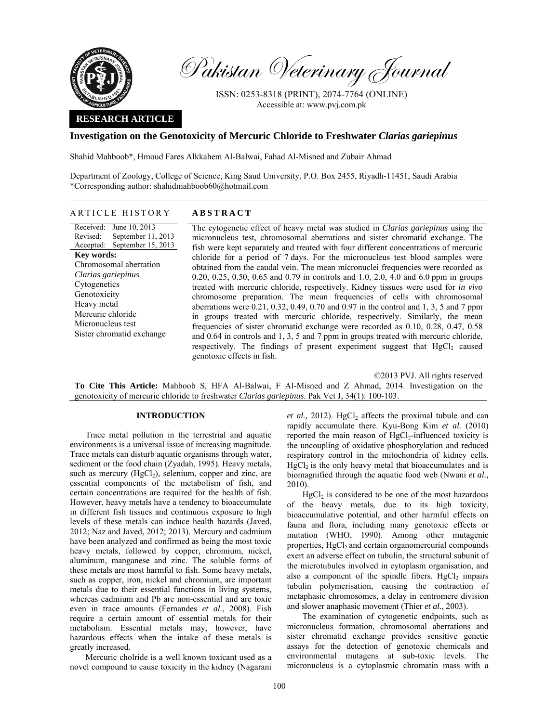

Pakistan Veterinary Journal

ISSN: 0253-8318 (PRINT), 2074-7764 (ONLINE) Accessible at: www.pvj.com.pk

## **RESEARCH ARTICLE**

## **Investigation on the Genotoxicity of Mercuric Chloride to Freshwater** *Clarias gariepinus*

Shahid Mahboob\*, Hmoud Fares Alkkahem Al-Balwai, Fahad Al-Misned and Zubair Ahmad

Department of Zoology, College of Science, King Saud University, P.O. Box 2455, Riyadh-11451, Saudi Arabia \*Corresponding author: shahidmahboob60@hotmail.com

# ARTICLE HISTORY **ABSTRACT**

Received: June 10, 2013 Revised: Accepted: September 15, 2013 September 11, 2013 **Key words:**  Chromosomal aberration *Clarias gariepinus*  Cytogenetics Genotoxicity Heavy metal Mercuric chloride Micronucleus test Sister chromatid exchange

 The cytogenetic effect of heavy metal was studied in *Clarias gariepinus* using the micronucleus test, chromosomal aberrations and sister chromatid exchange. The fish were kept separately and treated with four different concentrations of mercuric chloride for a period of 7 days. For the micronucleus test blood samples were obtained from the caudal vein. The mean micronuclei frequencies were recorded as 0.20, 0.25, 0.50, 0.65 and 0.79 in controls and 1.0, 2.0, 4.0 and 6.0 ppm in groups treated with mercuric chloride, respectively. Kidney tissues were used for *in vivo* chromosome preparation. The mean frequencies of cells with chromosomal aberrations were 0.21, 0.32, 0.49, 0.70 and 0.97 in the control and 1, 3, 5 and 7 ppm in groups treated with mercuric chloride, respectively. Similarly, the mean frequencies of sister chromatid exchange were recorded as 0.10, 0.28, 0.47, 0.58 and 0.64 in controls and 1, 3, 5 and 7 ppm in groups treated with mercuric chloride, respectively. The findings of present experiment suggest that  $HgCl<sub>2</sub>$  caused genotoxic effects in fish.

©2013 PVJ. All rights reserved

**To Cite This Article:** Mahboob S, HFA Al-Balwai, F Al-Misned and Z Ahmad, 2014. Investigation on the genotoxicity of mercuric chloride to freshwater *Clarias gariepinus*. Pak Vet J, 34(1): 100-103.

### **INTRODUCTION**

Trace metal pollution in the terrestrial and aquatic environments is a universal issue of increasing magnitude. Trace metals can disturb aquatic organisms through water, sediment or the food chain (Zyadah, 1995). Heavy metals, such as mercury  $(HgCl<sub>2</sub>)$ , selenium, copper and zinc, are essential components of the metabolism of fish, and certain concentrations are required for the health of fish. However, heavy metals have a tendency to bioaccumulate in different fish tissues and continuous exposure to high levels of these metals can induce health hazards (Javed, 2012; Naz and Javed, 2012; 2013). Mercury and cadmium have been analyzed and confirmed as being the most toxic heavy metals, followed by copper, chromium, nickel, aluminum, manganese and zinc. The soluble forms of these metals are most harmful to fish. Some heavy metals, such as copper, iron, nickel and chromium, are important metals due to their essential functions in living systems, whereas cadmium and Pb are non-essential and are toxic even in trace amounts (Fernandes *et al.*, 2008). Fish require a certain amount of essential metals for their metabolism. Essential metals may, however, have hazardous effects when the intake of these metals is greatly increased.

Mercuric cholride is a well known toxicant used as a novel compound to cause toxicity in the kidney (Nagarani

 $et$  al., 2012).  $HgCl<sub>2</sub>$  affects the proximal tubule and can rapidly accumulate there. Kyu-Bong Kim *et al.* (2010) reported the main reason of  $HgCl<sub>2</sub>-influenced toxicity is$ the uncoupling of oxidative phosphorylation and reduced respiratory control in the mitochondria of kidney cells.  $HgCl<sub>2</sub>$  is the only heavy metal that bioaccumulates and is biomagnified through the aquatic food web (Nwani *et al.,* 2010).

 $HgCl<sub>2</sub>$  is considered to be one of the most hazardous of the heavy metals, due to its high toxicity, bioaccumulative potential, and other harmful effects on fauna and flora, including many genotoxic effects or mutation (WHO, 1990). Among other mutagenic properties, HgCl<sub>2</sub> and certain organomercurial compounds exert an adverse effect on tubulin, the structural subunit of the microtubules involved in cytoplasm organisation, and also a component of the spindle fibers.  $HgCl<sub>2</sub>$  impairs tubulin polymerisation, causing the contraction of metaphasic chromosomes, a delay in centromere division and slower anaphasic movement (Thier *et al.,* 2003).

The examination of cytogenetic endpoints, such as micronucleus formation, chromosomal aberrations and sister chromatid exchange provides sensitive genetic assays for the detection of genotoxic chemicals and environmental mutagens at sub-toxic levels. The micronucleus is a cytoplasmic chromatin mass with a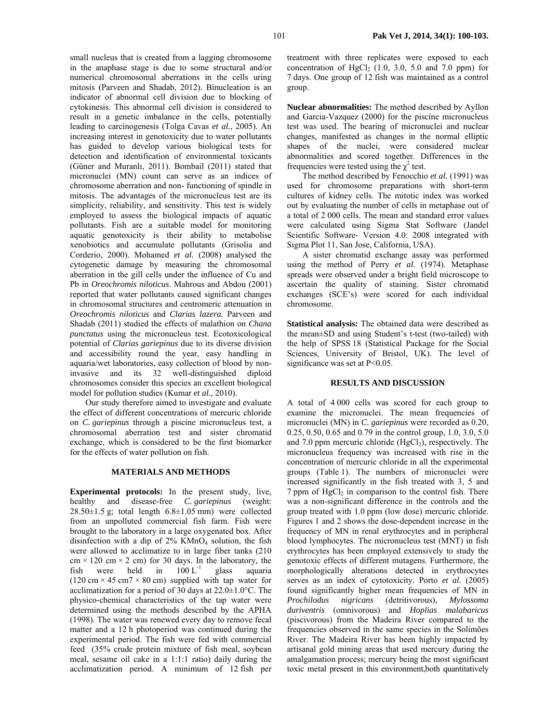small nucleus that is created from a lagging chromosome in the anaphase stage is due to some structural and/or numerical chromosomal aberrations in the cells uring mitosis (Parveen and Shadab, 2012). Binucleation is an indicator of abnormal cell division due to blocking of cytokinesis. This abnormal cell division is considered to result in a genetic imbalance in the cells, potentially leading to carcinogenesis (Tolga Cavas *et al.*, 2005). An increasing interest in genotoxicity due to water pollutants has guided to develop various biological tests for detection and identification of environmental toxicants (Güner and Muranlı, 2011). Bombail (2011) stated that micronuclei (MN) count can serve as an indices of chromosome aberration and non- functioning of spindle in mitosis. The advantages of the micronucleus test are its simplicity, reliability, and sensitivity. This test is widely employed to assess the biological impacts of aquatic pollutants. Fish are a suitable model for monitoring aquatic genotoxicity is their ability to metabolise xenobiotics and accumulate pollutants (Grisolia and Corderio, 2000). Mohamed *et al.* (2008) analysed the cytogenetic damage by measuring the chromosomal aberration in the gill cells under the influence of Cu and Pb in *Oreochromis niloticus*. Mahrous and Abdou (2001) reported that water pollutants caused significant changes

in chromosomal structures and centromeric attenuation in *Oreochromis niloticus* and *Clarias lazera.* Parveen and Shadab (2011) studied the effects of malathion on *Chana punctatus* using the micronucleus test. Ecotoxicological potential of *Clarias gariepinus* due to its diverse division and accessibility round the year, easy handling in aquaria/wet laboratories, easy collection of blood by noninvasive and its 32 well-distinguished diploid chromosomes consider this species an excellent biological model for pollution studies (Kumar *et al.,* 2010).

Our study therefore aimed to investigate and evaluate the effect of different concentrations of mercuric chloride on *C. gariepinus* through a piscine micronucleus test, a chromosomal aberration test and sister chromatid exchange, which is considered to be the first biomarker for the effects of water pollution on fish.

## **MATERIALS AND METHODS**

**Experimental protocols:** In the present study, live, healthy and disease-free *C. gariepinus* (weight: 28.50±1.5 g; total length 6.8±1.05 mm) were collected from an unpolluted commercial fish farm. Fish were brought to the laboratory in a large oxygenated box. After disinfection with a dip of  $2\%$  KMnO<sub>4</sub> solution, the fish were allowed to acclimatize to in large fiber tanks (210  $cm \times 120$  cm  $\times 2$  cm) for 30 days. In the laboratory, the fish were held in  $100 \mathrm{L}^{-1}$  glass aquaria  $(120 \text{ cm} \times 45 \text{ cm} \times 80 \text{ cm})$  supplied with tap water for acclimatization for a period of 30 days at 22.0±1.0°C. The physico-chemical characteristics of the tap water were determined using the methods described by the APHA (1998). The water was renewed every day to remove fecal matter and a 12 h photoperiod was continued during the experimental period. The fish were fed with commercial feed (35% crude protein mixture of fish meal, soybean meal, sesame oil cake in a 1:1:1 ratio) daily during the acclimatization period. A minimum of 12 fish per

treatment with three replicates were exposed to each concentration of HgCl<sub>2</sub>  $(1.0, 3.0, 5.0, 5.0, 7.0, 7.0, 7.0)$  for 7 days. One group of 12 fish was maintained as a control group.

**Nuclear abnormalities:** The method described by Ayllon and Garcia-Vazquez (2000) for the piscine micronucleus test was used. The bearing of micronuclei and nuclear changes, manifested as changes in the normal elliptic shapes of the nuclei, were considered nuclear abnormalities and scored together. Differences in the frequencies were tested using the  $\chi^2$  test.

The method described by Fenocchio *et al.* (1991) was used for chromosome preparations with short-term cultures of kidney cells. The mitotic index was worked out by evaluating the number of cells in metaphase out of a total of 2 000 cells. The mean and standard error values were calculated using Sigma Stat Software (Jandel Scientific Software- Version 4.0: 2008 integrated with Sigma Plot 11, San Jose, California, USA).

A sister chromatid exchange assay was performed using the method of Perry *et al.* (1974). Metaphase spreads were observed under a bright field microscope to ascertain the quality of staining. Sister chromatid exchanges (SCE's) were scored for each individual chromosome.

**Statistical analysis:** The obtained data were described as the mean±SD and using Student's t-test (two-tailed) with the help of SPSS 18 (Statistical Package for the Social Sciences, University of Bristol, UK). The level of significance was set at P<0.05.

## **RESULTS AND DISCUSSION**

A total of 4 000 cells was scored for each group to examine the micronuclei. The mean frequencies of micronuclei (MN) in *C. gariepinus* were recorded as 0.20, 0.25, 0.50, 0.65 and 0.79 in the control group, 1.0, 3.0, 5.0 and 7.0 ppm mercuric chloride  $(HgCl<sub>2</sub>)$ , respectively. The micronucleus frequency was increased with rise in the concentration of mercuric chloride in all the experimental groups (Table 1). The numbers of micronuclei were increased significantly in the fish treated with 3, 5 and  $7$  ppm of  $HgCl<sub>2</sub>$  in comparison to the control fish. There was a non-significant difference in the controls and the group treated with 1.0 ppm (low dose) mercuric chloride. Figures 1 and 2 shows the dose-dependent increase in the frequency of MN in renal erythrocytes and in peripheral blood lymphocytes. The micronucleus test (MNT) in fish erythrocytes has been employed extensively to study the genotoxic effects of different mutagens. Furthermore, the morphologically alterations detected in erythrocytes serves as an index of cytotoxicity. Porto *et al.* (2005) found significantly higher mean frequencies of MN in *Prochilodus nigricans* (detritivorous), *Mylossoma duriventris* (omnivorous) and *Hoplias malabaricus*  (piscivorous) from the Madeira River compared to the frequencies observed in the same species in the Solimões River. The Madeira River has been highly impacted by artisanal gold mining areas that used mercury during the amalgamation process; mercury being the most significant toxic metal present in this environment,both quantitatively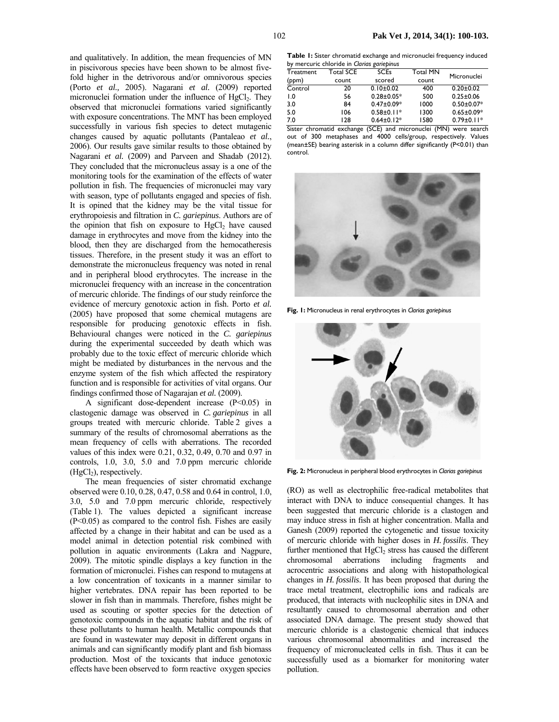and qualitatively. In addition, the mean frequencies of MN in piscivorous species have been shown to be almost fivefold higher in the detrivorous and/or omnivorous species (Porto *et al.,* 2005). Nagarani *et al.* (2009) reported micronuclei formation under the influence of HgCl<sub>2</sub>. They observed that micronuclei formations varied significantly with exposure concentrations. The MNT has been employed successfully in various fish species to detect mutagenic changes caused by aquatic pollutants (Pantaleao *et al.*, 2006). Our results gave similar results to those obtained by Nagarani *et al.* (2009) and Parveen and Shadab (2012). They concluded that the micronucleus assay is a one of the monitoring tools for the examination of the effects of water pollution in fish. The frequencies of micronuclei may vary with season, type of pollutants engaged and species of fish. It is opined that the kidney may be the vital tissue for erythropoiesis and filtration in *C. gariepinus*. Authors are of the opinion that fish on exposure to  $HgCl<sub>2</sub>$  have caused damage in erythrocytes and move from the kidney into the blood, then they are discharged from the hemocatheresis tissues. Therefore, in the present study it was an effort to demonstrate the micronucleus frequency was noted in renal and in peripheral blood erythrocytes. The increase in the micronuclei frequency with an increase in the concentration of mercuric chloride. The findings of our study reinforce the evidence of mercury genotoxic action in fish. Porto *et al.* (2005) have proposed that some chemical mutagens are responsible for producing genotoxic effects in fish. Behavioural changes were noticed in the *C. gariepinus* during the experimental succeeded by death which was probably due to the toxic effect of mercuric chloride which might be mediated by disturbances in the nervous and the enzyme system of the fish which affected the respiratory function and is responsible for activities of vital organs. Our findings confirmed those of Nagarajan *et al.* (2009).

A significant dose-dependent increase (P<0.05) in clastogenic damage was observed in *C. gariepinus* in all groups treated with mercuric chloride. Table 2 gives a summary of the results of chromosomal aberrations as the mean frequency of cells with aberrations. The recorded values of this index were 0.21, 0.32, 0.49, 0.70 and 0.97 in controls, 1.0, 3.0, 5.0 and 7.0 ppm mercuric chloride  $(HgCl<sub>2</sub>)$ , respectively.

The mean frequencies of sister chromatid exchange observed were 0.10, 0.28, 0.47, 0.58 and 0.64 in control, 1.0, 3.0, 5.0 and 7.0 ppm mercuric chloride, respectively (Table 1). The values depicted a significant increase (P<0.05) as compared to the control fish. Fishes are easily affected by a change in their habitat and can be used as a model animal in detection potential risk combined with pollution in aquatic environments (Lakra and Nagpure, 2009). The mitotic spindle displays a key function in the formation of micronuclei. Fishes can respond to mutagens at a low concentration of toxicants in a manner similar to higher vertebrates. DNA repair has been reported to be slower in fish than in mammals. Therefore, fishes might be used as scouting or spotter species for the detection of genotoxic compounds in the aquatic habitat and the risk of these pollutants to human health. Metallic compounds that are found in wastewater may deposit in different organs in animals and can significantly modify plant and fish biomass production. Most of the toxicants that induce genotoxic effects have been observed to form reactive oxygen species

**Table 1:** Sister chromatid exchange and micronuclei frequency induced by mercuric chloride in *Clarias gariepinus* 

|                  |           | ⊷                |          |                  |  |
|------------------|-----------|------------------|----------|------------------|--|
| Treatment        | Total SCE | <b>SCEs</b>      | Total MN | Micronuclei      |  |
| (ppm)            | count     | scored           | count    |                  |  |
| Control          | 20        | $0.10+0.02$      | 400      | $0.20 \pm 0.02$  |  |
| $\overline{1.0}$ | 56        | $0.28 \pm 0.05*$ | 500      | $0.25 \pm 0.06$  |  |
| 3.0              | 84        | $0.47 \pm 0.09*$ | 1000     | $0.50 \pm 0.07*$ |  |
| 5.0              | 106       | $0.58 \pm 0.11*$ | 1300     | $0.65 \pm 0.09*$ |  |
| 7.0              | 128       | $0.64 \pm 0.12*$ | 1580     | $0.79 \pm 0.11*$ |  |

Sister chromatid exchange (SCE) and micronuclei (MN) were search out of 300 metaphases and 4000 cells/group, respectively. Values (mean±SE) bearing asterisk in a column differ significantly (P<0.01) than control.



**Fig. 1:** Micronucleus in renal erythrocytes in *Clarias gariepinus* 



**Fig. 2:** Micronucleus in peripheral blood erythrocytes in *Clarias gariepinus* 

(RO) as well as electrophilic free-radical metabolites that interact with DNA to induce consequential changes. It has been suggested that mercuric chloride is a clastogen and may induce stress in fish at higher concentration. Malla and Ganesh (2009) reported the cytogenetic and tissue toxicity of mercuric chloride with higher doses in *H. fossilis*. They further mentioned that  $HgCl<sub>2</sub>$  stress has caused the different chromosomal aberrations including fragments and acrocentric associations and along with histopathological changes in *H. fossilis*. It has been proposed that during the trace metal treatment, electrophilic ions and radicals are produced, that interacts with nucleophilic sites in DNA and resultantly caused to chromosomal aberration and other associated DNA damage. The present study showed that mercuric chloride is a clastogenic chemical that induces various chromosomal abnormalities and increased the frequency of micronucleated cells in fish. Thus it can be successfully used as a biomarker for monitoring water pollution.